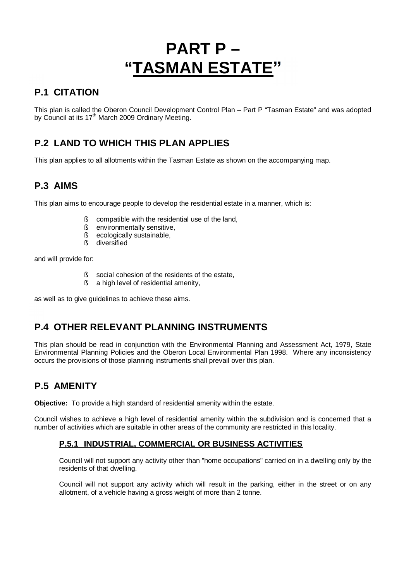# **PART P – "TASMAN ESTATE"**

# **P.1 CITATION**

This plan is called the Oberon Council Development Control Plan – Part P "Tasman Estate" and was adopted by Council at its 17<sup>th</sup> March 2009 Ordinary Meeting.

# **P.2 LAND TO WHICH THIS PLAN APPLIES**

This plan applies to all allotments within the Tasman Estate as shown on the accompanying map.

# **P.3 AIMS**

This plan aims to encourage people to develop the residential estate in a manner, which is:

- § compatible with the residential use of the land,
- § environmentally sensitive,
- § ecologically sustainable,
- § diversified

and will provide for:

- § social cohesion of the residents of the estate,
- § a high level of residential amenity,

as well as to give guidelines to achieve these aims.

# **P.4 OTHER RELEVANT PLANNING INSTRUMENTS**

This plan should be read in conjunction with the Environmental Planning and Assessment Act, 1979, State Environmental Planning Policies and the Oberon Local Environmental Plan 1998. Where any inconsistency occurs the provisions of those planning instruments shall prevail over this plan.

# **P.5 AMENITY**

**Objective:** To provide a high standard of residential amenity within the estate.

Council wishes to achieve a high level of residential amenity within the subdivision and is concerned that a number of activities which are suitable in other areas of the community are restricted in this locality.

#### **P.5.1 INDUSTRIAL, COMMERCIAL OR BUSINESS ACTIVITIES**

Council will not support any activity other than "home occupations" carried on in a dwelling only by the residents of that dwelling.

Council will not support any activity which will result in the parking, either in the street or on any allotment, of a vehicle having a gross weight of more than 2 tonne.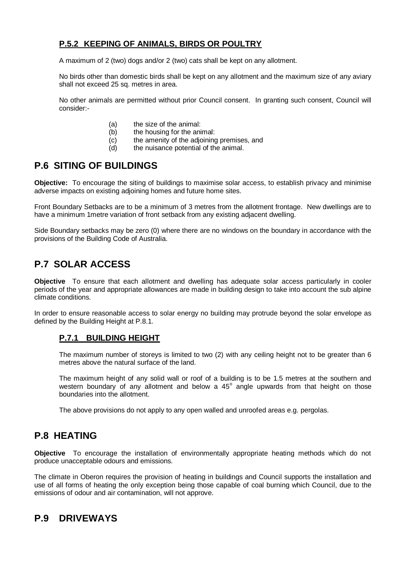## **P.5.2 KEEPING OF ANIMALS, BIRDS OR POULTRY**

A maximum of 2 (two) dogs and/or 2 (two) cats shall be kept on any allotment.

No birds other than domestic birds shall be kept on any allotment and the maximum size of any aviary shall not exceed 25 sq. metres in area.

No other animals are permitted without prior Council consent. In granting such consent, Council will consider:-

- (a) the size of the animal:
- (b) the housing for the animal:
- (c) the amenity of the adjoining premises, and<br>(d) the nuisance potential of the animal.
- the nuisance potential of the animal.

## **P.6 SITING OF BUILDINGS**

**Objective:** To encourage the siting of buildings to maximise solar access, to establish privacy and minimise adverse impacts on existing adjoining homes and future home sites.

Front Boundary Setbacks are to be a minimum of 3 metres from the allotment frontage. New dwellings are to have a minimum 1metre variation of front setback from any existing adjacent dwelling.

Side Boundary setbacks may be zero (0) where there are no windows on the boundary in accordance with the provisions of the Building Code of Australia.

# **P.7 SOLAR ACCESS**

**Objective** To ensure that each allotment and dwelling has adequate solar access particularly in cooler periods of the year and appropriate allowances are made in building design to take into account the sub alpine climate conditions.

In order to ensure reasonable access to solar energy no building may protrude beyond the solar envelope as defined by the Building Height at P.8.1.

#### **P.7.1 BUILDING HEIGHT**

The maximum number of storeys is limited to two (2) with any ceiling height not to be greater than 6 metres above the natural surface of the land.

The maximum height of any solid wall or roof of a building is to be 1.5 metres at the southern and western boundary of any allotment and below a  $45^{\circ}$  angle upwards from that height on those boundaries into the allotment.

The above provisions do not apply to any open walled and unroofed areas e.g. pergolas.

## **P.8 HEATING**

**Objective** To encourage the installation of environmentally appropriate heating methods which do not produce unacceptable odours and emissions.

The climate in Oberon requires the provision of heating in buildings and Council supports the installation and use of all forms of heating the only exception being those capable of coal burning which Council, due to the emissions of odour and air contamination, will not approve.

## **P.9 DRIVEWAYS**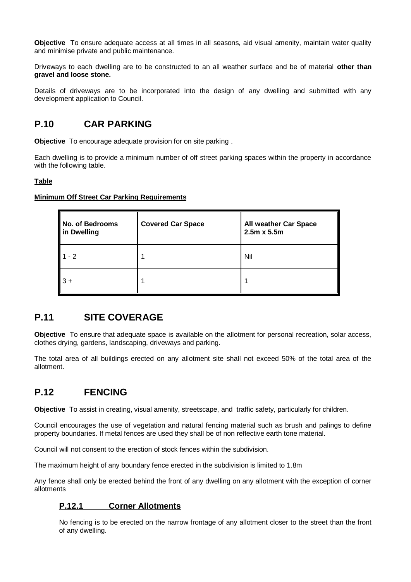**Objective** To ensure adequate access at all times in all seasons, aid visual amenity, maintain water quality and minimise private and public maintenance.

Driveways to each dwelling are to be constructed to an all weather surface and be of material **other than gravel and loose stone.**

Details of driveways are to be incorporated into the design of any dwelling and submitted with any development application to Council.

## **P.10 CAR PARKING**

**Objective** To encourage adequate provision for on site parking .

Each dwelling is to provide a minimum number of off street parking spaces within the property in accordance with the following table.

#### **Table**

#### **Minimum Off Street Car Parking Requirements**

| No. of Bedrooms<br>in Dwelling | <b>Covered Car Space</b> | <b>All weather Car Space</b><br>$2.5m \times 5.5m$ |
|--------------------------------|--------------------------|----------------------------------------------------|
| $1 - 2$                        |                          | Nil                                                |
| $"3 +$                         |                          |                                                    |

## **P.11 SITE COVERAGE**

**Objective** To ensure that adequate space is available on the allotment for personal recreation, solar access, clothes drying, gardens, landscaping, driveways and parking.

The total area of all buildings erected on any allotment site shall not exceed 50% of the total area of the allotment.

## **P.12 FENCING**

**Objective** To assist in creating, visual amenity, streetscape, and traffic safety, particularly for children.

Council encourages the use of vegetation and natural fencing material such as brush and palings to define property boundaries. If metal fences are used they shall be of non reflective earth tone material.

Council will not consent to the erection of stock fences within the subdivision.

The maximum height of any boundary fence erected in the subdivision is limited to 1.8m

Any fence shall only be erected behind the front of any dwelling on any allotment with the exception of corner allotments

## **P.12.1 Corner Allotments**

No fencing is to be erected on the narrow frontage of any allotment closer to the street than the front of any dwelling.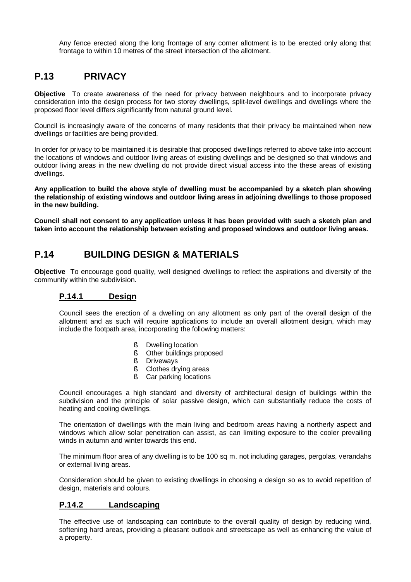Any fence erected along the long frontage of any corner allotment is to be erected only along that frontage to within 10 metres of the street intersection of the allotment.

## **P.13 PRIVACY**

**Objective** To create awareness of the need for privacy between neighbours and to incorporate privacy consideration into the design process for two storey dwellings, split-level dwellings and dwellings where the proposed floor level differs significantly from natural ground level.

Council is increasingly aware of the concerns of many residents that their privacy be maintained when new dwellings or facilities are being provided.

In order for privacy to be maintained it is desirable that proposed dwellings referred to above take into account the locations of windows and outdoor living areas of existing dwellings and be designed so that windows and outdoor living areas in the new dwelling do not provide direct visual access into the these areas of existing dwellings.

**Any application to build the above style of dwelling must be accompanied by a sketch plan showing the relationship of existing windows and outdoor living areas in adjoining dwellings to those proposed in the new building.**

**Council shall not consent to any application unless it has been provided with such a sketch plan and taken into account the relationship between existing and proposed windows and outdoor living areas.**

## **P.14 BUILDING DESIGN & MATERIALS**

**Objective** To encourage good quality, well designed dwellings to reflect the aspirations and diversity of the community within the subdivision.

#### **P.14.1 Design**

Council sees the erection of a dwelling on any allotment as only part of the overall design of the allotment and as such will require applications to include an overall allotment design, which may include the footpath area, incorporating the following matters:

- § Dwelling location
- § Other buildings proposed
- § Driveways
- § Clothes drying areas
- § Car parking locations

Council encourages a high standard and diversity of architectural design of buildings within the subdivision and the principle of solar passive design, which can substantially reduce the costs of heating and cooling dwellings.

The orientation of dwellings with the main living and bedroom areas having a northerly aspect and windows which allow solar penetration can assist, as can limiting exposure to the cooler prevailing winds in autumn and winter towards this end.

The minimum floor area of any dwelling is to be 100 sq m. not including garages, pergolas, verandahs or external living areas.

Consideration should be given to existing dwellings in choosing a design so as to avoid repetition of design, materials and colours.

#### **P.14.2 Landscaping**

The effective use of landscaping can contribute to the overall quality of design by reducing wind, softening hard areas, providing a pleasant outlook and streetscape as well as enhancing the value of a property.